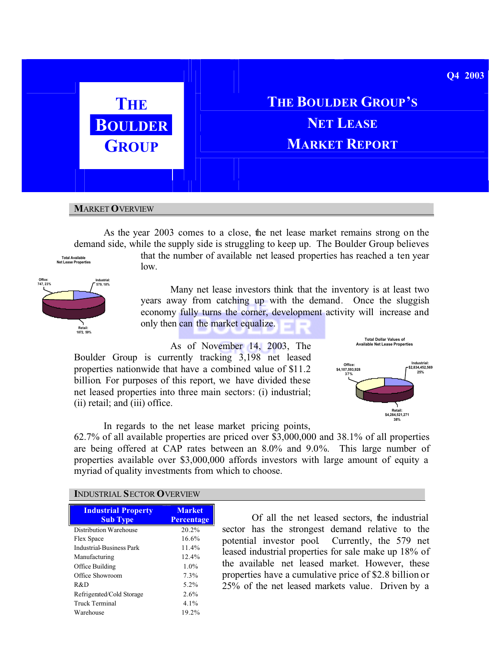

# **THE BOULDER GROUP'S BOULDER NET NET NET GROUP MARKET REPORT**

## **M**ARKET **O**VERVIEW

As the year 2003 comes to a close, the net lease market remains strong on the demand side, while the supply side is struggling to keep up. The Boulder Group believes

**Retail: 1872, 59% Office: 747, 23% Industrial: 579, 18%**

**Total Available Net Lease Properties**

that the number of available net leased properties has reached a ten year low.

Many net lease investors think that the inventory is at least two years away from catching up with the demand. Once the sluggish economy fully turns the corner, development activity will increase and only then can the market equalize.

As of November 14, 2003, The Boulder Group is currently tracking 3,198 net leased properties nationwide that have a combined value of \$11.2 billion. For purposes of this report, we have divided these net leased properties into three main sectors: (i) industrial; (ii) retail; and (iii) office.



In regards to the net lease market pricing points, 62.7% of all available properties are priced over \$3,000,000 and 38.1% of all properties are being offered at CAP rates between an 8.0% and 9.0%. This large number of properties available over \$3,000,000 affords investors with large amount of equity a myriad of quality investments from which to choose.

# **I**NDUSTRIAL **S**ECTOR **O**VERVIEW

| <b>Industrial Property</b><br><b>Sub Type</b> | <b>Market</b><br><b>Percentage</b> |
|-----------------------------------------------|------------------------------------|
| Distribution Warehouse                        | 20.2%                              |
| Flex Space                                    | 16.6%                              |
| Industrial-Business Park                      | 11.4%                              |
| Manufacturing                                 | 12.4%                              |
| Office Building                               | 1.0%                               |
| Office Showroom                               | 7.3%                               |
| R&D                                           | 5 2%                               |
| Refrigerated/Cold Storage                     | 2.6%                               |
| Truck Terminal                                | $4.1\%$                            |
| Warehouse                                     | 19.2%                              |

Of all the net leased sectors, the industrial sector has the strongest demand relative to the potential investor pool. Currently, the 579 net leased industrial properties for sale make up 18% of the available net leased market. However, these properties have a cumulative price of \$2.8 billion or 25% of the net leased markets value. Driven by a

#### **Q4 2003**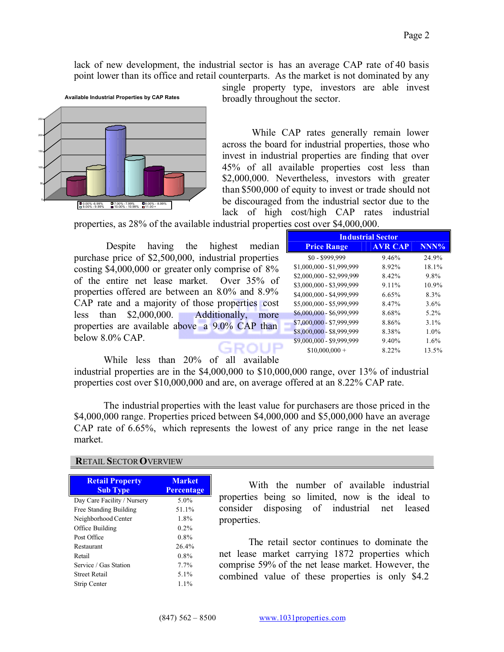lack of new development, the industrial sector is has an average CAP rate of 40 basis point lower than its office and retail counterparts. As the market is not dominated by any



single property type, investors are able invest broadly throughout the sector.

While CAP rates generally remain lower across the board for industrial properties, those who invest in industrial properties are finding that over 45% of all available properties cost less than \$2,000,000. Nevertheless, investors with greater than \$500,000 of equity to invest or trade should not be discouraged from the industrial sector due to the lack of high cost/high CAP rates industrial

properties, as 28% of the available industrial properties cost over \$4,000,000.

Despite having the highest median purchase price of \$2,500,000, industrial properties costing \$4,000,000 or greater only comprise of 8% of the entire net lease market. Over 35% of properties offered are between an 8.0% and 8.9% CAP rate and a majority of those properties cost less than \$2,000,000. Additionally, more properties are available above a 9.0% CAP than below 8.0% CAP. GROUP

| <b>Industrial Sector</b>  |                |         |  |
|---------------------------|----------------|---------|--|
| <b>Price Range</b>        | <b>AVR CAP</b> | NNN%    |  |
| $$0 - $999,999$           | 9.46%          | 24.9%   |  |
| \$1,000,000 - \$1,999,999 | 8.92%          | 18.1%   |  |
| \$2,000,000 - \$2,999,999 | 8.42%          | 9.8%    |  |
| \$3,000,000 - \$3,999,999 | 9.11%          | 10.9%   |  |
| \$4,000,000 - \$4,999,999 | 6.65%          | 8.3%    |  |
| \$5,000,000 - \$5,999,999 | 8.47%          | $3.6\%$ |  |
| \$6,000,000 - \$6,999,999 | 8.68%          | 5.2%    |  |
| \$7,000,000 - \$7,999,999 | 8.86%          | $3.1\%$ |  |
| \$8,000,000 - \$8,999,999 | 8.38%          | $1.0\%$ |  |
| \$9,000,000 - \$9,999,999 | $9.40\%$       | 1.6%    |  |
| $$10,000,000 +$           | 8.22%          | 13.5%   |  |

While less than 20% of all available

industrial properties are in the \$4,000,000 to \$10,000,000 range, over 13% of industrial properties cost over \$10,000,000 and are, on average offered at an 8.22% CAP rate.

The industrial properties with the least value for purchasers are those priced in the \$4,000,000 range. Properties priced between \$4,000,000 and \$5,000,000 have an average CAP rate of 6.65%, which represents the lowest of any price range in the net lease market.

# **R**ETAIL **S**ECTOR**O**VERVIEW

| <b>Retail Property</b><br><b>Sub Type</b> | <b>Market</b><br><b>Percentage</b> |
|-------------------------------------------|------------------------------------|
| Day Care Facility / Nursery               | 5.0%                               |
| Free Standing Building                    | 51.1%                              |
| Neighborhood Center                       | 1.8%                               |
| Office Building                           | $0.2\%$                            |
| Post Office                               | $0.8\%$                            |
| Restaurant                                | 26.4%                              |
| Retail                                    | $0.8\%$                            |
| Service / Gas Station                     | $7.7\%$                            |
| Street Retail                             | 5.1%                               |
| Strip Center                              | $1.1\%$                            |

With the number of available industrial properties being so limited, now is the ideal to consider disposing of industrial net leased properties.

The retail sector continues to dominate the net lease market carrying 1872 properties which comprise 59% of the net lease market. However, the combined value of these properties is only \$4.2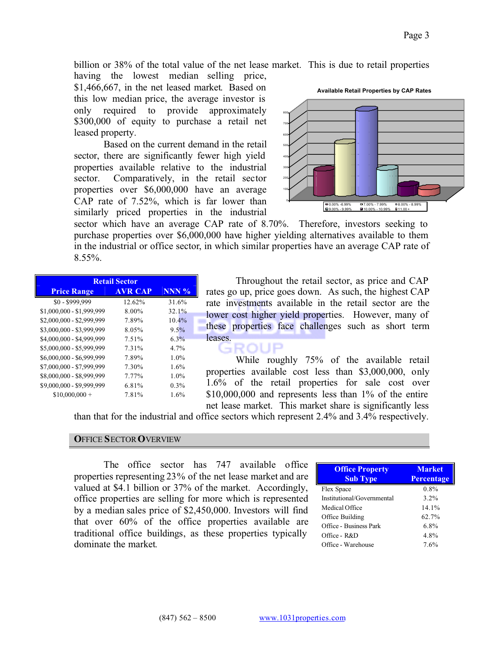billion or 38% of the total value of the net lease market. This is due to retail properties

having the lowest median selling price, \$1,466,667, in the net leased market. Based on this low median price, the average investor is only required to provide approximately \$300,000 of equity to purchase a retail net leased property.

Based on the current demand in the retail sector, there are significantly fewer high yield properties available relative to the industrial sector. Comparatively, in the retail sector properties over \$6,000,000 have an average CAP rate of 7.52%, which is far lower than similarly priced properties in the industrial



sector which have an average CAP rate of 8.70%. Therefore, investors seeking to purchase properties over \$6,000,000 have higher yielding alternatives available to them in the industrial or office sector, in which similar properties have an average CAP rate of  $8.55\%$ .

| <b>Retail Sector</b>      |                |         |   |
|---------------------------|----------------|---------|---|
| <b>Price Range</b>        | <b>AVR CAP</b> | $NNN$ % | r |
| \$0 - \$999,999           | 12.62%         | 31.6%   | r |
| \$1,000,000 - \$1,999,999 | 8.00%          | 32.1%   |   |
| \$2,000,000 - \$2,999,999 | 7.89%          | 10.4%   |   |
| \$3,000,000 - \$3,999,999 | 8.05%          | $9.5\%$ |   |
| \$4,000,000 - \$4,999,999 | 7.51%          | $6.3\%$ |   |
| \$5,000,000 - \$5,999,999 | 7.31%          | 4.7%    |   |
| \$6,000,000 - \$6,999,999 | 7.89%          | 1.0%    |   |
| \$7,000,000 - \$7,999,999 | 7.30%          | 1.6%    |   |
| \$8,000,000 - \$8,999,999 | 7.77%          | 1.0%    |   |
| \$9,000,000 - \$9,999,999 | 6.81%          | 0.3%    |   |
| $$10,000,000 +$           | 7.81%          | 1.6%    |   |

Throughout the retail sector, as price and CAP rates go up, price goes down. As such, the highest CAP rate investments available in the retail sector are the ower cost higher yield properties. However, many of these properties face challenges such as short term leases. GROUP

While roughly 75% of the available retail properties available cost less than \$3,000,000, only 1.6% of the retail properties for sale cost over \$10,000,000 and represents less than 1% of the entire net lease market. This market share is significantly less

than that for the industrial and office sectors which represent 2.4% and 3.4% respectively.

## **O**FFICE **S**ECTOR**O**VERVIEW

The office sector has 747 available office properties representing 23% of the net lease market and are valued at \$4.1 billion or 37% of the market. Accordingly, office properties are selling for more which is represented by a median sales price of \$2,450,000. Investors will find that over 60% of the office properties available are traditional office buildings, as these properties typically dominate the market.

| <b>Office Property</b>     | <b>Market</b> |  |
|----------------------------|---------------|--|
| <b>Sub Type</b>            | Percentage    |  |
| Flex Space                 | 0.8%          |  |
| Institutional/Governmental | $3.2\%$       |  |
| Medical Office             | $14.1\%$      |  |
| Office Building            | 62.7%         |  |
| Office - Business Park     | 6.8%          |  |
| Office - R&D               | 4.8%          |  |
| Office - Warehouse         | 7.6%          |  |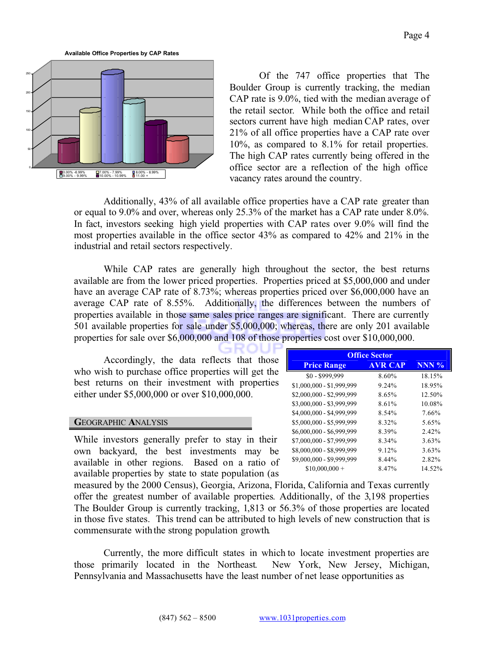**Available Office Properties by CAP Rates**



Of the 747 office properties that The Boulder Group is currently tracking, the median CAP rate is 9.0%, tied with the median average of the retail sector. While both the office and retail sectors current have high median CAP rates, over 21% of all office properties have a CAP rate over 10%, as compared to 8.1% for retail properties. The high CAP rates currently being offered in the office sector are a reflection of the high office vacancy rates around the country.

Additionally, 43% of all available office properties have a CAP rate greater than or equal to 9.0% and over, whereas only 25.3% of the market has a CAP rate under 8.0%. In fact, investors seeking high yield properties with CAP rates over 9.0% will find the most properties available in the office sector 43% as compared to 42% and 21% in the industrial and retail sectors respectively.

While CAP rates are generally high throughout the sector, the best returns available are from the lower priced properties. Properties priced at \$5,000,000 and under have an average CAP rate of 8.73%; whereas properties priced over \$6,000,000 have an average CAP rate of 8.55%. Additionally, the differences between the numbers of properties available in those same sales price ranges are significant. There are currently 501 available properties for sale under \$5,000,000; whereas, there are only 201 available properties for sale over \$6,000,000 and 108 of those properties cost over \$10,000,000.

Accordingly, the data reflects that those who wish to purchase office properties will get the best returns on their investment with properties either under \$5,000,000 or over \$10,000,000.

# **G**EOGRAPHIC **A**NALYSIS

While investors generally prefer to stay in their own backyard, the best investments may be available in other regions. Based on a ratio of available properties by state to state population (as

| <b>Office Sector</b>      |                |         |  |
|---------------------------|----------------|---------|--|
| <b>Price Range</b>        | <b>AVR CAP</b> | $NNN$ % |  |
| \$0 - \$999,999           | 8.60%          | 18.15%  |  |
| \$1,000,000 - \$1,999,999 | 9.24%          | 18.95%  |  |
| \$2,000,000 - \$2,999,999 | 8.65%          | 12.50%  |  |
| \$3,000,000 - \$3,999,999 | 8.61%          | 10.08%  |  |
| \$4,000,000 - \$4,999,999 | 8.54%          | 7.66%   |  |
| \$5,000,000 - \$5,999,999 | 8.32%          | 5.65%   |  |
| \$6,000,000 - \$6,999,999 | 8.39%          | 2.42%   |  |
| \$7,000,000 - \$7,999,999 | 8.34%          | 3.63%   |  |
| \$8,000,000 - \$8,999,999 | 9.12%          | 3.63%   |  |
| \$9,000,000 - \$9,999,999 | 8.44%          | 2.82%   |  |
| $$10,000,000 +$           | 8.47%          | 14 52%  |  |

measured by the 2000 Census), Georgia, Arizona, Florida, California and Texas currently offer the greatest number of available properties. Additionally, of the 3,198 properties The Boulder Group is currently tracking, 1,813 or 56.3% of those properties are located in those five states. This trend can be attributed to high levels of new construction that is commensurate with the strong population growth.

Currently, the more difficult states in which to locate investment properties are those primarily located in the Northeast. New York, New Jersey, Michigan, Pennsylvania and Massachusetts have the least number of net lease opportunities as